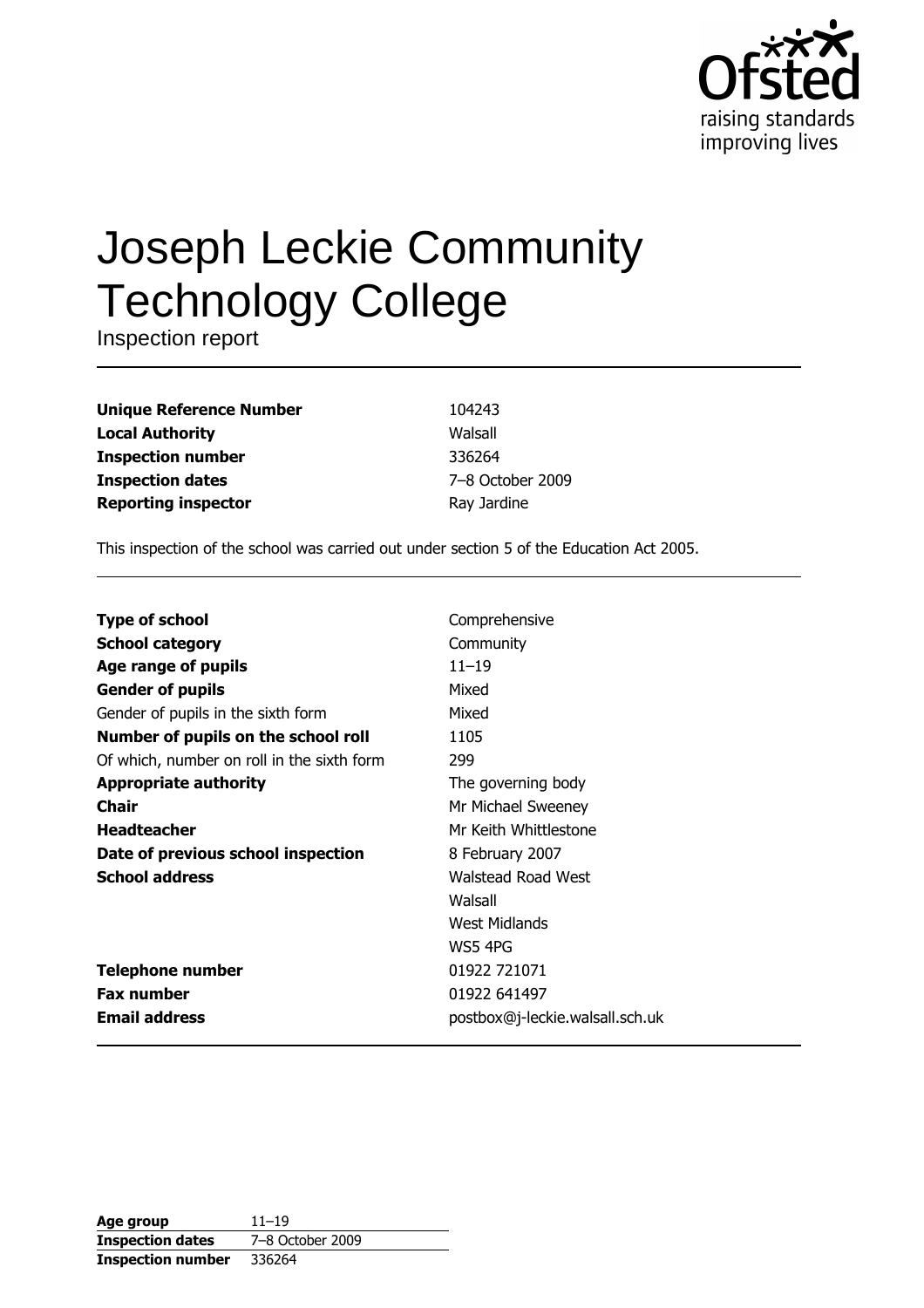

# **Joseph Leckie Community Technology College**

Inspection report

| <b>Unique Reference Number</b> |
|--------------------------------|
| <b>Local Authority</b>         |
| <b>Inspection number</b>       |
| <b>Inspection dates</b>        |
| <b>Reporting inspector</b>     |

104243 Walsall 336264 7-8 October 2009 Ray Jardine

This inspection of the school was carried out under section 5 of the Education Act 2005.

| <b>Type of school</b>                      | Comprehensive                   |
|--------------------------------------------|---------------------------------|
| <b>School category</b>                     | Community                       |
| Age range of pupils                        | $11 - 19$                       |
| <b>Gender of pupils</b>                    | Mixed                           |
| Gender of pupils in the sixth form         | Mixed                           |
| Number of pupils on the school roll        | 1105                            |
| Of which, number on roll in the sixth form | 299                             |
| <b>Appropriate authority</b>               | The governing body              |
| Chair                                      | Mr Michael Sweeney              |
| <b>Headteacher</b>                         | Mr Keith Whittlestone           |
| Date of previous school inspection         | 8 February 2007                 |
| <b>School address</b>                      | <b>Walstead Road West</b>       |
|                                            | Walsall                         |
|                                            | West Midlands                   |
|                                            | WS5 4PG                         |
| <b>Telephone number</b>                    | 01922 721071                    |
| <b>Fax number</b>                          | 01922 641497                    |
| <b>Email address</b>                       | postbox@j-leckie.walsall.sch.uk |

| Age group                | $11 - 19$        |
|--------------------------|------------------|
| <b>Inspection dates</b>  | 7-8 October 2009 |
| <b>Inspection number</b> | 336264           |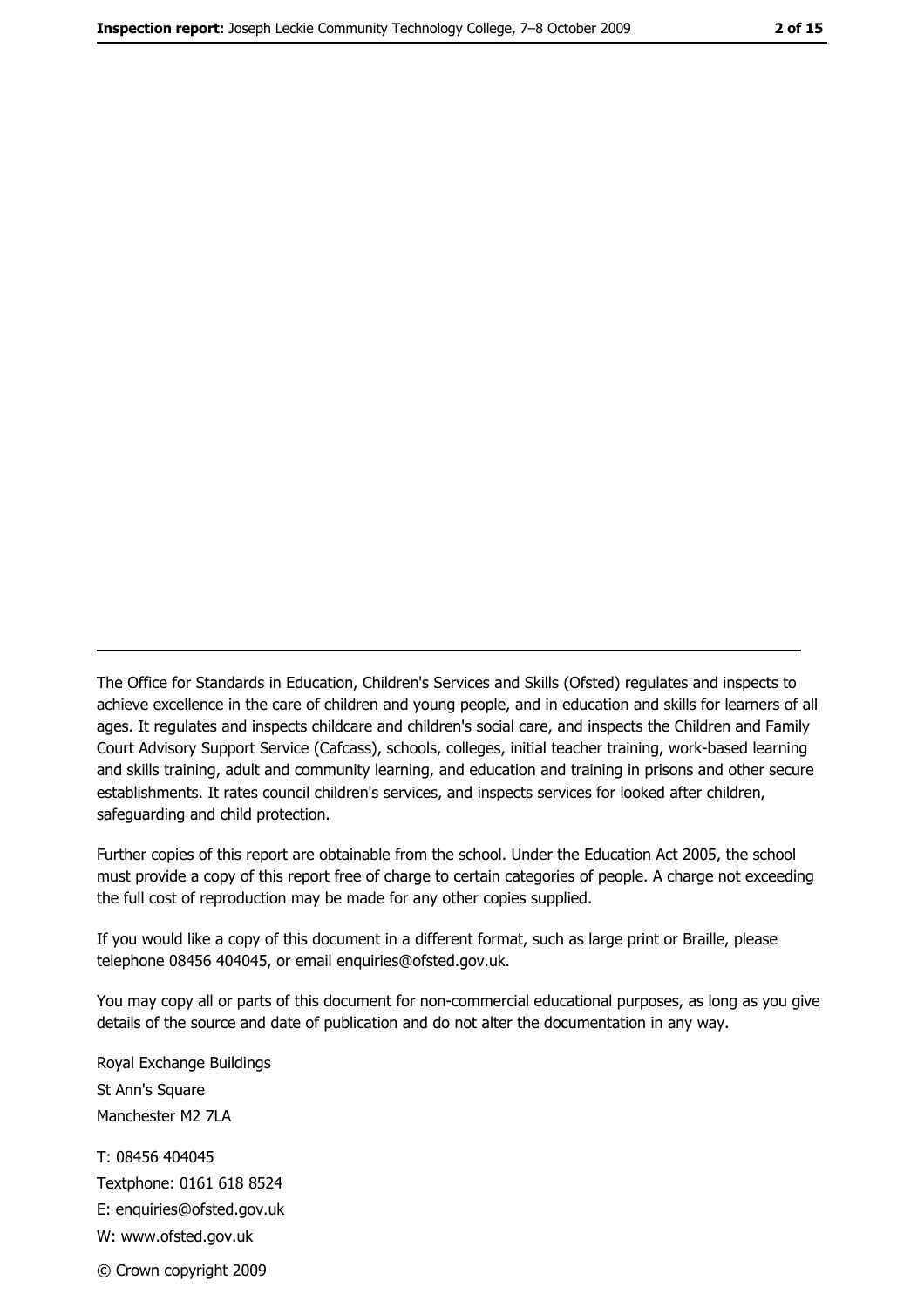The Office for Standards in Education, Children's Services and Skills (Ofsted) regulates and inspects to achieve excellence in the care of children and young people, and in education and skills for learners of all ages. It regulates and inspects childcare and children's social care, and inspects the Children and Family Court Advisory Support Service (Cafcass), schools, colleges, initial teacher training, work-based learning and skills training, adult and community learning, and education and training in prisons and other secure establishments. It rates council children's services, and inspects services for looked after children, safequarding and child protection.

Further copies of this report are obtainable from the school. Under the Education Act 2005, the school must provide a copy of this report free of charge to certain categories of people. A charge not exceeding the full cost of reproduction may be made for any other copies supplied.

If you would like a copy of this document in a different format, such as large print or Braille, please telephone 08456 404045, or email enquiries@ofsted.gov.uk.

You may copy all or parts of this document for non-commercial educational purposes, as long as you give details of the source and date of publication and do not alter the documentation in any way.

Royal Exchange Buildings St Ann's Square Manchester M2 7LA T: 08456 404045 Textphone: 0161 618 8524 E: enquiries@ofsted.gov.uk W: www.ofsted.gov.uk © Crown copyright 2009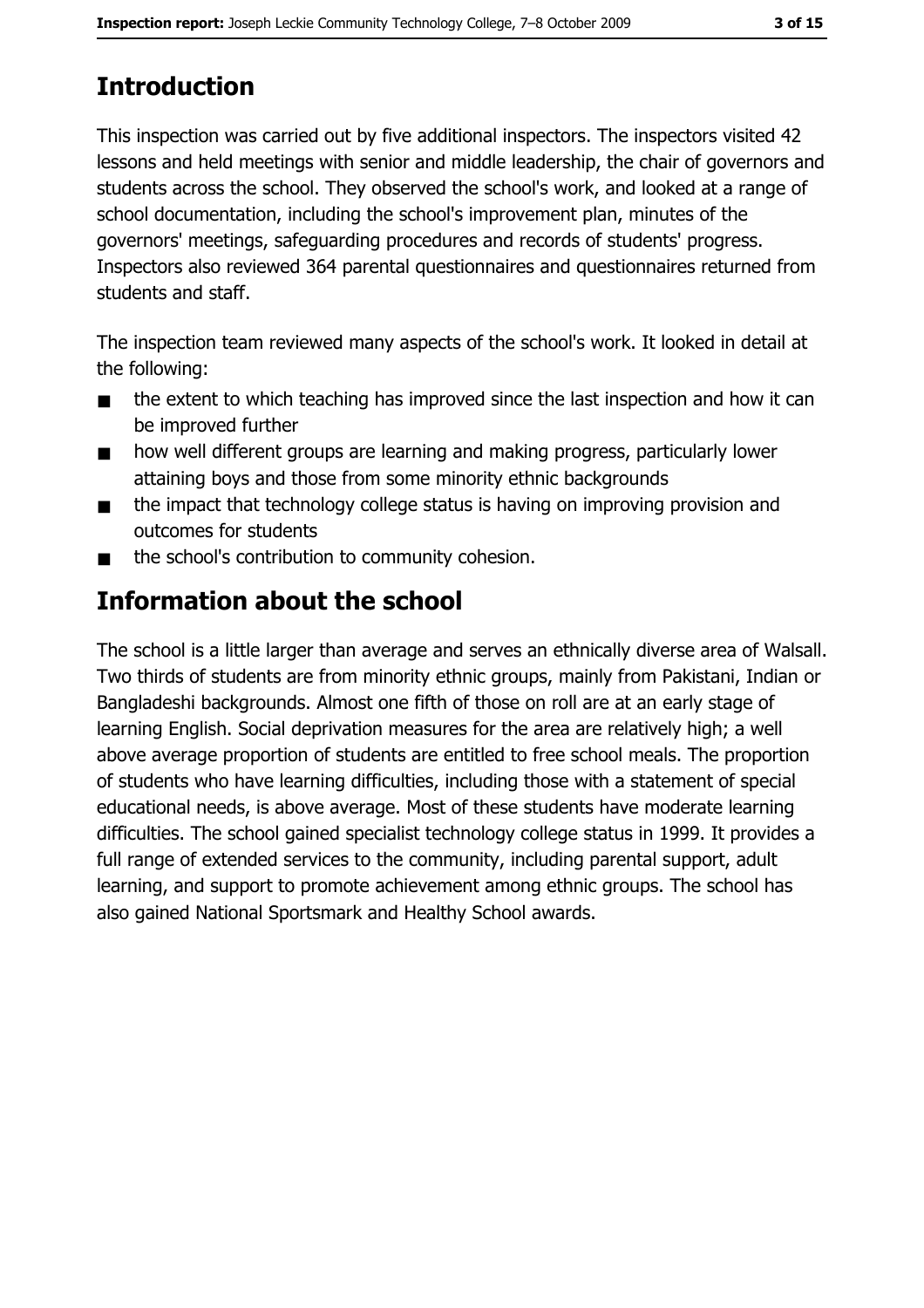# **Introduction**

This inspection was carried out by five additional inspectors. The inspectors visited 42 lessons and held meetings with senior and middle leadership, the chair of governors and students across the school. They observed the school's work, and looked at a range of school documentation, including the school's improvement plan, minutes of the governors' meetings, safeguarding procedures and records of students' progress. Inspectors also reviewed 364 parental questionnaires and questionnaires returned from students and staff.

The inspection team reviewed many aspects of the school's work. It looked in detail at the following:

- the extent to which teaching has improved since the last inspection and how it can  $\blacksquare$ be improved further
- how well different groups are learning and making progress, particularly lower  $\blacksquare$ attaining boys and those from some minority ethnic backgrounds
- the impact that technology college status is having on improving provision and  $\blacksquare$ outcomes for students
- the school's contribution to community cohesion.  $\blacksquare$

# **Information about the school**

The school is a little larger than average and serves an ethnically diverse area of Walsall. Two thirds of students are from minority ethnic groups, mainly from Pakistani, Indian or Bangladeshi backgrounds. Almost one fifth of those on roll are at an early stage of learning English. Social deprivation measures for the area are relatively high; a well above average proportion of students are entitled to free school meals. The proportion of students who have learning difficulties, including those with a statement of special educational needs, is above average. Most of these students have moderate learning difficulties. The school gained specialist technology college status in 1999. It provides a full range of extended services to the community, including parental support, adult learning, and support to promote achievement among ethnic groups. The school has also gained National Sportsmark and Healthy School awards.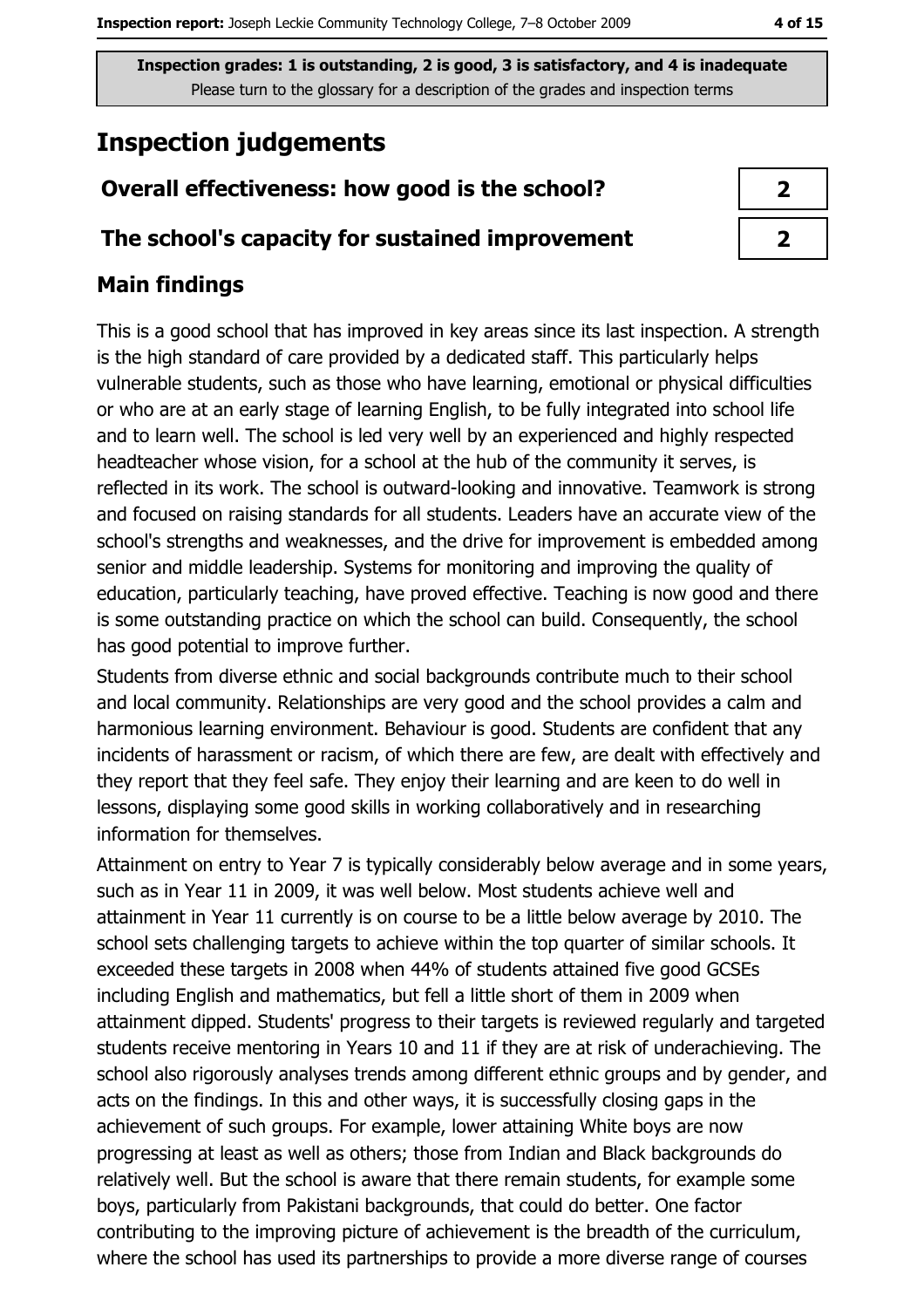# **Inspection judgements**

# Overall effectiveness: how good is the school?

### The school's capacity for sustained improvement

# **Main findings**

This is a good school that has improved in key areas since its last inspection. A strength is the high standard of care provided by a dedicated staff. This particularly helps vulnerable students, such as those who have learning, emotional or physical difficulties or who are at an early stage of learning English, to be fully integrated into school life and to learn well. The school is led very well by an experienced and highly respected headteacher whose vision, for a school at the hub of the community it serves, is reflected in its work. The school is outward-looking and innovative. Teamwork is strong and focused on raising standards for all students. Leaders have an accurate view of the school's strengths and weaknesses, and the drive for improvement is embedded among senior and middle leadership. Systems for monitoring and improving the quality of education, particularly teaching, have proved effective. Teaching is now good and there is some outstanding practice on which the school can build. Consequently, the school has good potential to improve further.

Students from diverse ethnic and social backgrounds contribute much to their school and local community. Relationships are very good and the school provides a calm and harmonious learning environment. Behaviour is good. Students are confident that any incidents of harassment or racism, of which there are few, are dealt with effectively and they report that they feel safe. They enjoy their learning and are keen to do well in lessons, displaying some good skills in working collaboratively and in researching information for themselves.

Attainment on entry to Year 7 is typically considerably below average and in some years, such as in Year 11 in 2009, it was well below. Most students achieve well and attainment in Year 11 currently is on course to be a little below average by 2010. The school sets challenging targets to achieve within the top quarter of similar schools. It exceeded these targets in 2008 when 44% of students attained five good GCSEs including English and mathematics, but fell a little short of them in 2009 when attainment dipped. Students' progress to their targets is reviewed regularly and targeted students receive mentoring in Years 10 and 11 if they are at risk of underachieving. The school also rigorously analyses trends among different ethnic groups and by gender, and acts on the findings. In this and other ways, it is successfully closing gaps in the achievement of such groups. For example, lower attaining White boys are now progressing at least as well as others; those from Indian and Black backgrounds do relatively well. But the school is aware that there remain students, for example some boys, particularly from Pakistani backgrounds, that could do better. One factor contributing to the improving picture of achievement is the breadth of the curriculum, where the school has used its partnerships to provide a more diverse range of courses

| ↗                      |  |
|------------------------|--|
| $\boldsymbol{\lambda}$ |  |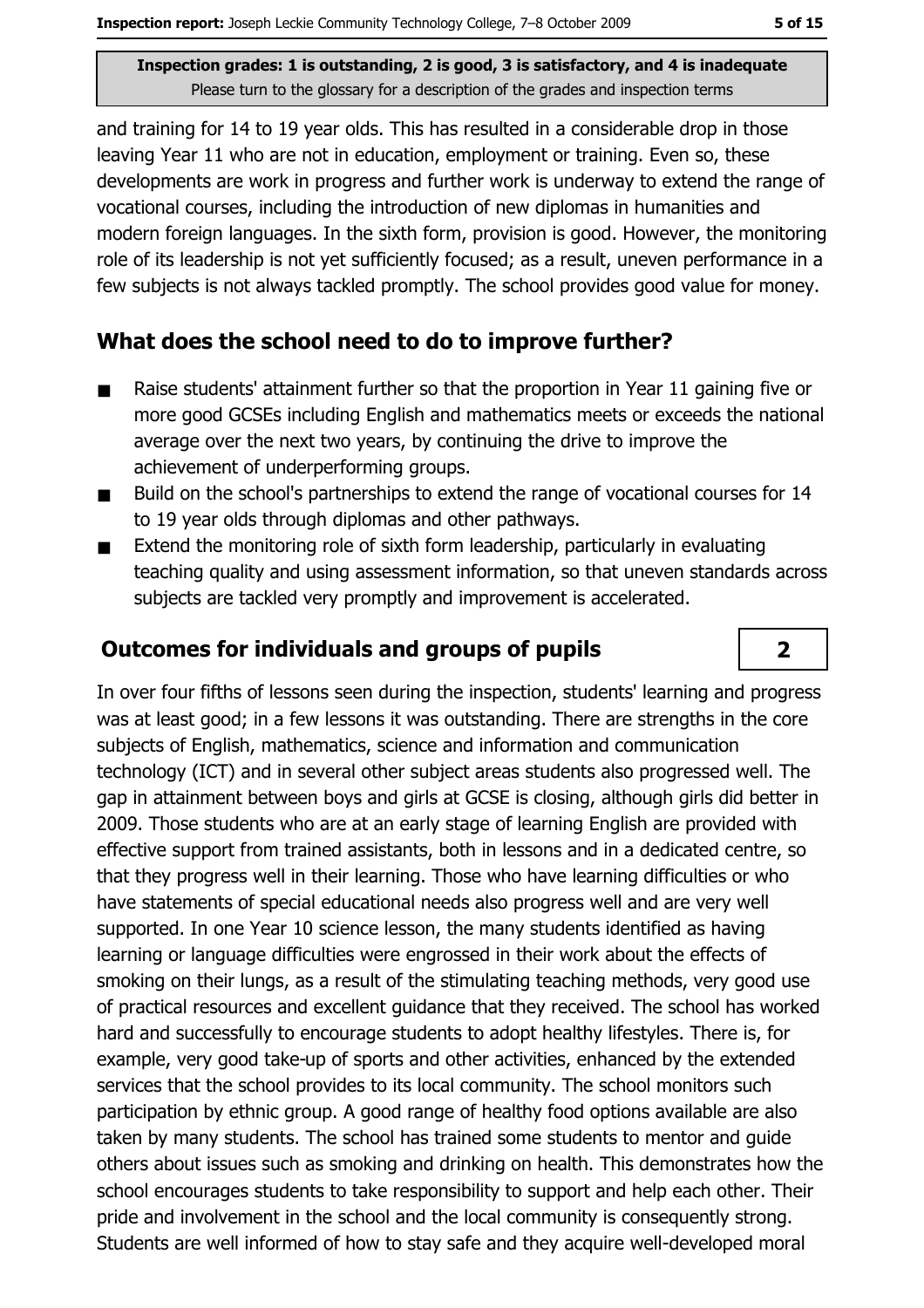and training for 14 to 19 year olds. This has resulted in a considerable drop in those leaving Year 11 who are not in education, employment or training. Even so, these developments are work in progress and further work is underway to extend the range of vocational courses, including the introduction of new diplomas in humanities and modern foreign languages. In the sixth form, provision is good. However, the monitoring role of its leadership is not yet sufficiently focused; as a result, uneven performance in a few subjects is not always tackled promptly. The school provides good value for money.

### What does the school need to do to improve further?

- Raise students' attainment further so that the proportion in Year 11 gaining five or  $\blacksquare$ more good GCSEs including English and mathematics meets or exceeds the national average over the next two years, by continuing the drive to improve the achievement of underperforming groups.
- Build on the school's partnerships to extend the range of vocational courses for 14  $\blacksquare$ to 19 year olds through diplomas and other pathways.
- Extend the monitoring role of sixth form leadership, particularly in evaluating  $\blacksquare$ teaching quality and using assessment information, so that uneven standards across subjects are tackled very promptly and improvement is accelerated.

### **Outcomes for individuals and groups of pupils**

In over four fifths of lessons seen during the inspection, students' learning and progress was at least good; in a few lessons it was outstanding. There are strengths in the core subjects of English, mathematics, science and information and communication technology (ICT) and in several other subject areas students also progressed well. The gap in attainment between boys and girls at GCSE is closing, although girls did better in 2009. Those students who are at an early stage of learning English are provided with effective support from trained assistants, both in lessons and in a dedicated centre, so that they progress well in their learning. Those who have learning difficulties or who have statements of special educational needs also progress well and are very well supported. In one Year 10 science lesson, the many students identified as having learning or language difficulties were engrossed in their work about the effects of smoking on their lungs, as a result of the stimulating teaching methods, very good use of practical resources and excellent guidance that they received. The school has worked hard and successfully to encourage students to adopt healthy lifestyles. There is, for example, very good take-up of sports and other activities, enhanced by the extended services that the school provides to its local community. The school monitors such participation by ethnic group. A good range of healthy food options available are also taken by many students. The school has trained some students to mentor and quide others about issues such as smoking and drinking on health. This demonstrates how the school encourages students to take responsibility to support and help each other. Their pride and involvement in the school and the local community is consequently strong. Students are well informed of how to stay safe and they acquire well-developed moral

 $\overline{2}$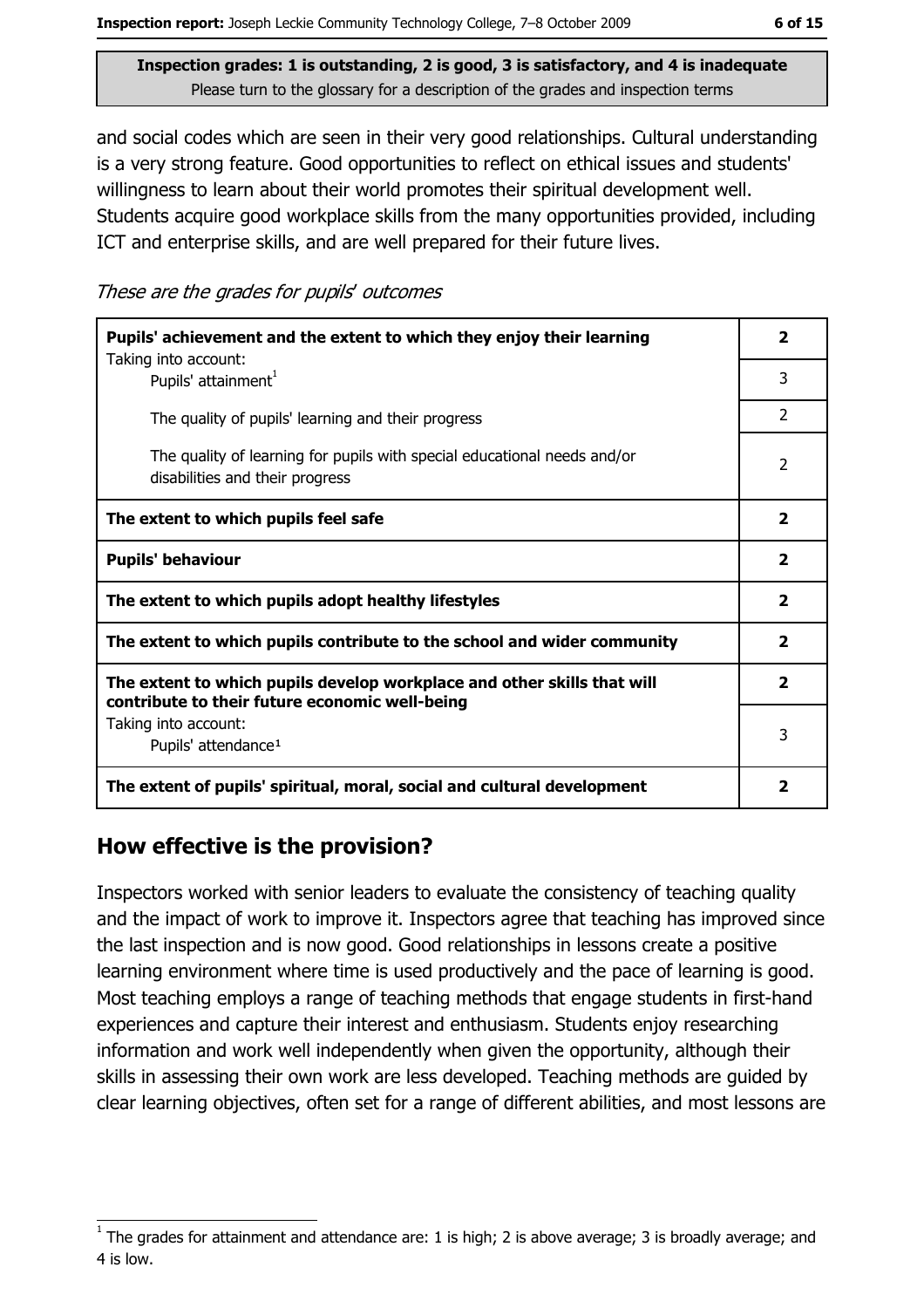and social codes which are seen in their very good relationships. Cultural understanding is a very strong feature. Good opportunities to reflect on ethical issues and students' willingness to learn about their world promotes their spiritual development well. Students acquire good workplace skills from the many opportunities provided, including ICT and enterprise skills, and are well prepared for their future lives.

These are the grades for pupils' outcomes

| Pupils' achievement and the extent to which they enjoy their learning<br>Taking into account:                             |                         |  |  |
|---------------------------------------------------------------------------------------------------------------------------|-------------------------|--|--|
| Pupils' attainment <sup>1</sup>                                                                                           | 3                       |  |  |
| The quality of pupils' learning and their progress                                                                        | $\overline{2}$          |  |  |
| The quality of learning for pupils with special educational needs and/or<br>disabilities and their progress               | 2                       |  |  |
| The extent to which pupils feel safe                                                                                      | $\overline{\mathbf{2}}$ |  |  |
| <b>Pupils' behaviour</b>                                                                                                  | $\overline{2}$          |  |  |
| The extent to which pupils adopt healthy lifestyles                                                                       | $\overline{\mathbf{2}}$ |  |  |
| The extent to which pupils contribute to the school and wider community                                                   |                         |  |  |
| The extent to which pupils develop workplace and other skills that will<br>contribute to their future economic well-being | $\overline{2}$          |  |  |
| Taking into account:                                                                                                      |                         |  |  |
| Pupils' attendance <sup>1</sup>                                                                                           | 3                       |  |  |
| The extent of pupils' spiritual, moral, social and cultural development                                                   | $\mathbf{2}$            |  |  |

# How effective is the provision?

Inspectors worked with senior leaders to evaluate the consistency of teaching quality and the impact of work to improve it. Inspectors agree that teaching has improved since the last inspection and is now good. Good relationships in lessons create a positive learning environment where time is used productively and the pace of learning is good. Most teaching employs a range of teaching methods that engage students in first-hand experiences and capture their interest and enthusiasm. Students enjoy researching information and work well independently when given the opportunity, although their skills in assessing their own work are less developed. Teaching methods are guided by clear learning objectives, often set for a range of different abilities, and most lessons are

The grades for attainment and attendance are: 1 is high; 2 is above average; 3 is broadly average; and 4 is low.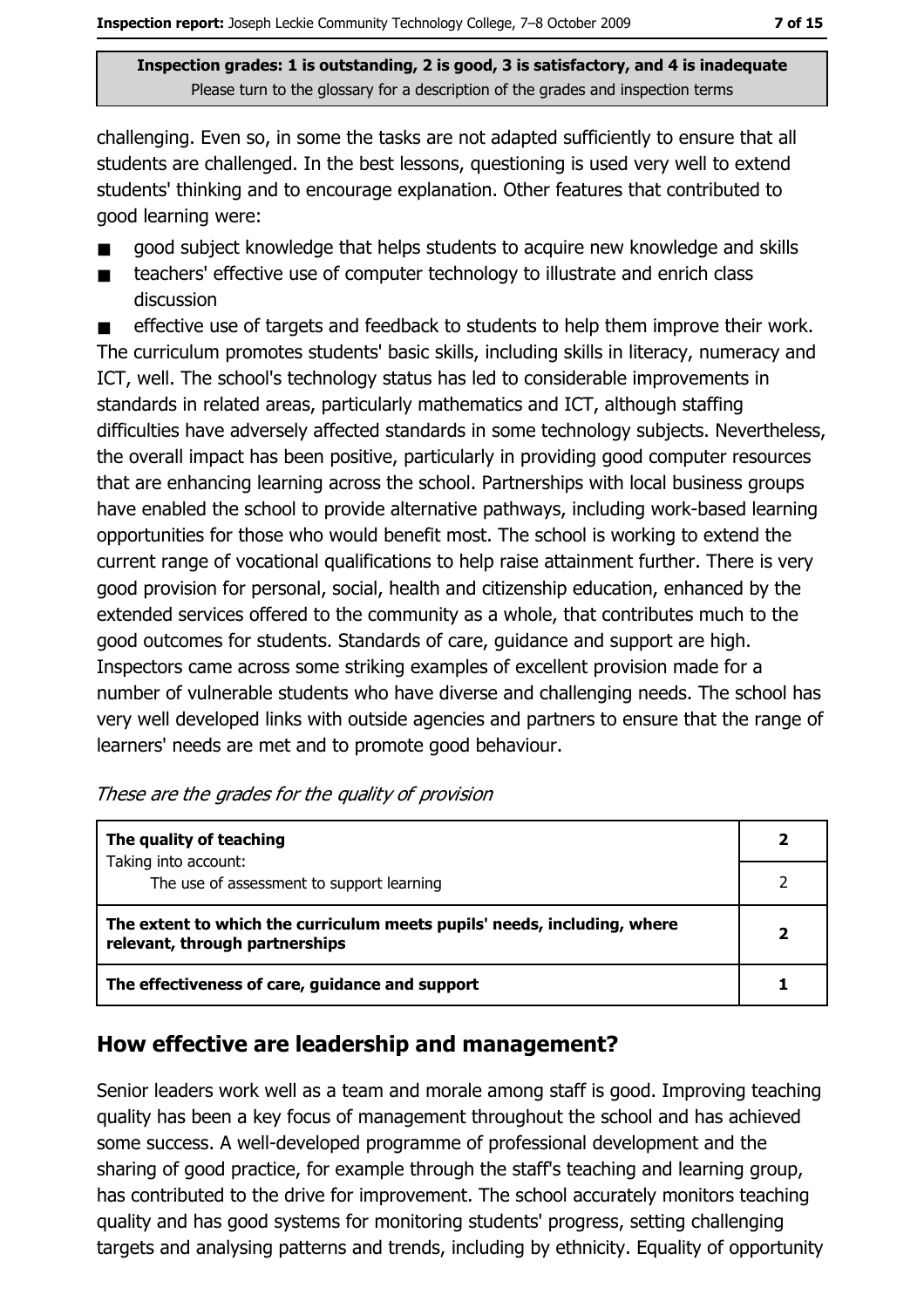challenging. Even so, in some the tasks are not adapted sufficiently to ensure that all students are challenged. In the best lessons, questioning is used very well to extend students' thinking and to encourage explanation. Other features that contributed to good learning were:

- good subject knowledge that helps students to acquire new knowledge and skills
- teachers' effective use of computer technology to illustrate and enrich class  $\blacksquare$ discussion

effective use of targets and feedback to students to help them improve their work.  $\blacksquare$ The curriculum promotes students' basic skills, including skills in literacy, numeracy and ICT, well. The school's technology status has led to considerable improvements in standards in related areas, particularly mathematics and ICT, although staffing difficulties have adversely affected standards in some technology subjects. Nevertheless, the overall impact has been positive, particularly in providing good computer resources that are enhancing learning across the school. Partnerships with local business groups have enabled the school to provide alternative pathways, including work-based learning opportunities for those who would benefit most. The school is working to extend the current range of vocational qualifications to help raise attainment further. There is very good provision for personal, social, health and citizenship education, enhanced by the extended services offered to the community as a whole, that contributes much to the good outcomes for students. Standards of care, guidance and support are high. Inspectors came across some striking examples of excellent provision made for a number of vulnerable students who have diverse and challenging needs. The school has very well developed links with outside agencies and partners to ensure that the range of learners' needs are met and to promote good behaviour.

| The quality of teaching                                                                                    |  |
|------------------------------------------------------------------------------------------------------------|--|
| Taking into account:<br>The use of assessment to support learning                                          |  |
| The extent to which the curriculum meets pupils' needs, including, where<br>relevant, through partnerships |  |
| The effectiveness of care, guidance and support                                                            |  |

#### These are the grades for the quality of provision

# How effective are leadership and management?

Senior leaders work well as a team and morale among staff is good. Improving teaching quality has been a key focus of management throughout the school and has achieved some success. A well-developed programme of professional development and the sharing of good practice, for example through the staff's teaching and learning group, has contributed to the drive for improvement. The school accurately monitors teaching quality and has good systems for monitoring students' progress, setting challenging targets and analysing patterns and trends, including by ethnicity. Equality of opportunity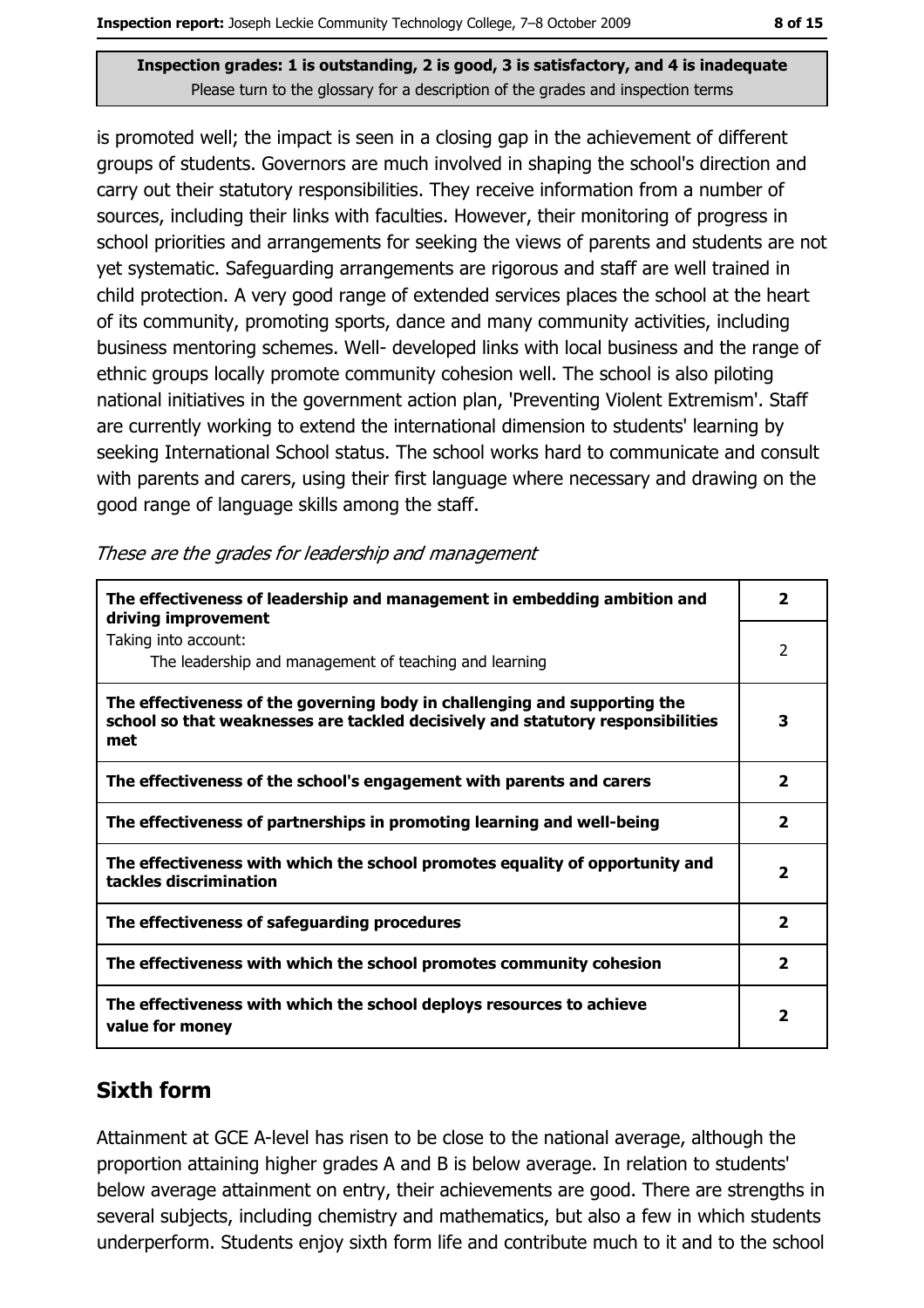is promoted well; the impact is seen in a closing gap in the achievement of different groups of students. Governors are much involved in shaping the school's direction and carry out their statutory responsibilities. They receive information from a number of sources, including their links with faculties. However, their monitoring of progress in school priorities and arrangements for seeking the views of parents and students are not yet systematic. Safeguarding arrangements are rigorous and staff are well trained in child protection. A very good range of extended services places the school at the heart of its community, promoting sports, dance and many community activities, including business mentoring schemes. Well- developed links with local business and the range of ethnic groups locally promote community cohesion well. The school is also piloting national initiatives in the government action plan, 'Preventing Violent Extremism'. Staff are currently working to extend the international dimension to students' learning by seeking International School status. The school works hard to communicate and consult with parents and carers, using their first language where necessary and drawing on the good range of language skills among the staff.

| The effectiveness of leadership and management in embedding ambition and<br>driving improvement                                                                     | $\overline{\mathbf{2}}$ |
|---------------------------------------------------------------------------------------------------------------------------------------------------------------------|-------------------------|
| Taking into account:<br>The leadership and management of teaching and learning                                                                                      | $\overline{2}$          |
| The effectiveness of the governing body in challenging and supporting the<br>school so that weaknesses are tackled decisively and statutory responsibilities<br>met | 3                       |
| The effectiveness of the school's engagement with parents and carers                                                                                                | $\overline{\mathbf{2}}$ |
| The effectiveness of partnerships in promoting learning and well-being                                                                                              | $\overline{\mathbf{2}}$ |
| The effectiveness with which the school promotes equality of opportunity and<br>tackles discrimination                                                              | $\overline{\mathbf{2}}$ |
| The effectiveness of safeguarding procedures                                                                                                                        | $\overline{\mathbf{2}}$ |
| The effectiveness with which the school promotes community cohesion                                                                                                 | $\overline{\mathbf{2}}$ |
| The effectiveness with which the school deploys resources to achieve<br>value for money                                                                             | 2                       |

# **Sixth form**

Attainment at GCE A-level has risen to be close to the national average, although the proportion attaining higher grades A and B is below average. In relation to students' below average attainment on entry, their achievements are good. There are strengths in several subjects, including chemistry and mathematics, but also a few in which students underperform. Students enjoy sixth form life and contribute much to it and to the school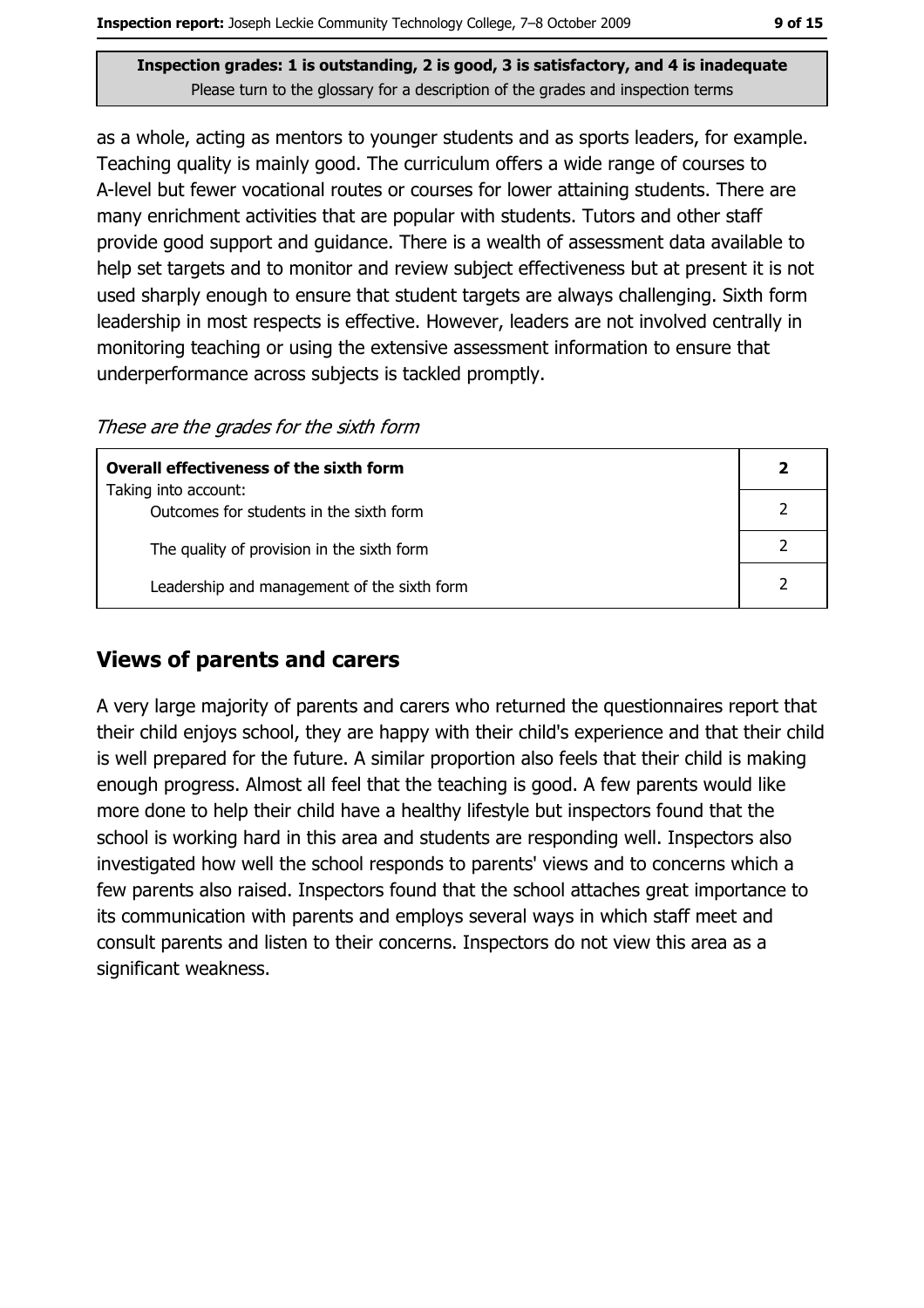as a whole, acting as mentors to younger students and as sports leaders, for example. Teaching quality is mainly good. The curriculum offers a wide range of courses to A-level but fewer vocational routes or courses for lower attaining students. There are many enrichment activities that are popular with students. Tutors and other staff provide good support and guidance. There is a wealth of assessment data available to help set targets and to monitor and review subject effectiveness but at present it is not used sharply enough to ensure that student targets are always challenging. Sixth form leadership in most respects is effective. However, leaders are not involved centrally in monitoring teaching or using the extensive assessment information to ensure that underperformance across subjects is tackled promptly.

These are the grades for the sixth form

| Overall effectiveness of the sixth form                         |  |
|-----------------------------------------------------------------|--|
| Taking into account:<br>Outcomes for students in the sixth form |  |
| The quality of provision in the sixth form                      |  |
| Leadership and management of the sixth form                     |  |

### **Views of parents and carers**

A very large majority of parents and carers who returned the questionnaires report that their child enjoys school, they are happy with their child's experience and that their child is well prepared for the future. A similar proportion also feels that their child is making enough progress. Almost all feel that the teaching is good. A few parents would like more done to help their child have a healthy lifestyle but inspectors found that the school is working hard in this area and students are responding well. Inspectors also investigated how well the school responds to parents' views and to concerns which a few parents also raised. Inspectors found that the school attaches great importance to its communication with parents and employs several ways in which staff meet and consult parents and listen to their concerns. Inspectors do not view this area as a significant weakness.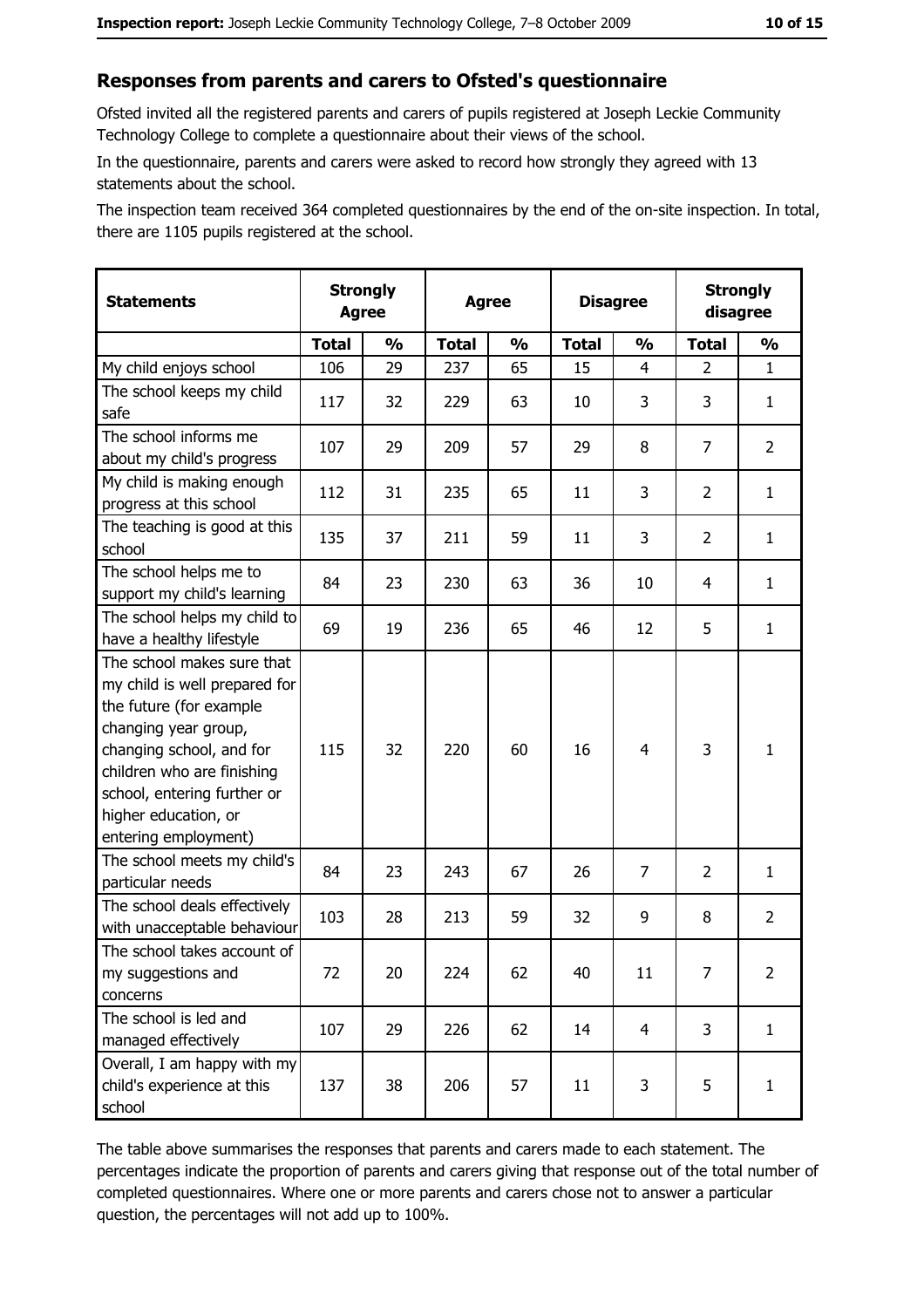#### Responses from parents and carers to Ofsted's questionnaire

Ofsted invited all the registered parents and carers of pupils registered at Joseph Leckie Community Technology College to complete a questionnaire about their views of the school.

In the questionnaire, parents and carers were asked to record how strongly they agreed with 13 statements about the school.

The inspection team received 364 completed questionnaires by the end of the on-site inspection. In total, there are 1105 pupils registered at the school.

| <b>Statements</b>                                                                                                                                                                                                                                       | <b>Strongly</b><br><b>Agree</b> |               |              | <b>Agree</b>  |              | <b>Disagree</b> |                | <b>Strongly</b><br>disagree |
|---------------------------------------------------------------------------------------------------------------------------------------------------------------------------------------------------------------------------------------------------------|---------------------------------|---------------|--------------|---------------|--------------|-----------------|----------------|-----------------------------|
|                                                                                                                                                                                                                                                         | <b>Total</b>                    | $\frac{1}{2}$ | <b>Total</b> | $\frac{0}{0}$ | <b>Total</b> | $\frac{1}{2}$   | <b>Total</b>   | $\frac{1}{2}$               |
| My child enjoys school                                                                                                                                                                                                                                  | 106                             | 29            | 237          | 65            | 15           | 4               | $\overline{2}$ | $\mathbf{1}$                |
| The school keeps my child<br>safe                                                                                                                                                                                                                       | 117                             | 32            | 229          | 63            | 10           | 3               | 3              | $\mathbf{1}$                |
| The school informs me<br>about my child's progress                                                                                                                                                                                                      | 107                             | 29            | 209          | 57            | 29           | 8               | $\overline{7}$ | $\overline{2}$              |
| My child is making enough<br>progress at this school                                                                                                                                                                                                    | 112                             | 31            | 235          | 65            | 11           | 3               | $\overline{2}$ | $\mathbf{1}$                |
| The teaching is good at this<br>school                                                                                                                                                                                                                  | 135                             | 37            | 211          | 59            | 11           | 3               | $\overline{2}$ | $\mathbf{1}$                |
| The school helps me to<br>support my child's learning                                                                                                                                                                                                   | 84                              | 23            | 230          | 63            | 36           | 10              | 4              | $\mathbf{1}$                |
| The school helps my child to<br>have a healthy lifestyle                                                                                                                                                                                                | 69                              | 19            | 236          | 65            | 46           | 12              | 5              | $\mathbf{1}$                |
| The school makes sure that<br>my child is well prepared for<br>the future (for example<br>changing year group,<br>changing school, and for<br>children who are finishing<br>school, entering further or<br>higher education, or<br>entering employment) | 115                             | 32            | 220          | 60            | 16           | 4               | 3              | $\mathbf{1}$                |
| The school meets my child's<br>particular needs                                                                                                                                                                                                         | 84                              | 23            | 243          | 67            | 26           | 7               | $\overline{2}$ | $\mathbf{1}$                |
| The school deals effectively<br>with unacceptable behaviour                                                                                                                                                                                             | 103                             | 28            | 213          | 59            | 32           | 9               | 8              | $\overline{2}$              |
| The school takes account of<br>my suggestions and<br>concerns                                                                                                                                                                                           | 72                              | 20            | 224          | 62            | 40           | 11              | 7              | $\overline{2}$              |
| The school is led and<br>managed effectively                                                                                                                                                                                                            | 107                             | 29            | 226          | 62            | 14           | $\overline{4}$  | 3              | $\mathbf{1}$                |
| Overall, I am happy with my<br>child's experience at this<br>school                                                                                                                                                                                     | 137                             | 38            | 206          | 57            | 11           | 3               | 5              | $\mathbf{1}$                |

The table above summarises the responses that parents and carers made to each statement. The percentages indicate the proportion of parents and carers giving that response out of the total number of completed questionnaires. Where one or more parents and carers chose not to answer a particular question, the percentages will not add up to 100%.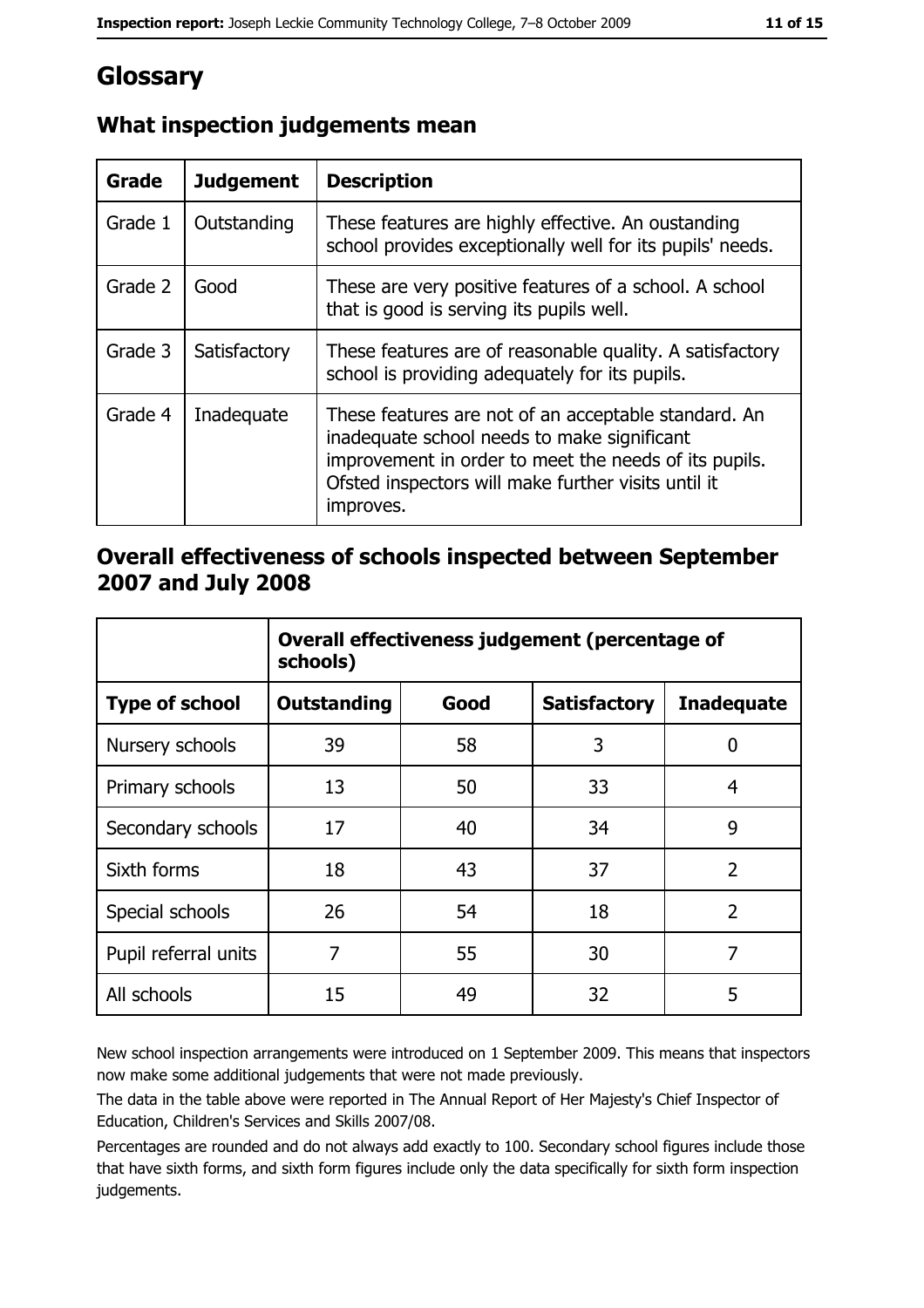# Glossary

| <b>Grade</b> | <b>Judgement</b> | <b>Description</b>                                                                                                                                                                                                               |
|--------------|------------------|----------------------------------------------------------------------------------------------------------------------------------------------------------------------------------------------------------------------------------|
| Grade 1      | Outstanding      | These features are highly effective. An oustanding<br>school provides exceptionally well for its pupils' needs.                                                                                                                  |
| Grade 2      | Good             | These are very positive features of a school. A school<br>that is good is serving its pupils well.                                                                                                                               |
| Grade 3      | Satisfactory     | These features are of reasonable quality. A satisfactory<br>school is providing adequately for its pupils.                                                                                                                       |
| Grade 4      | Inadequate       | These features are not of an acceptable standard. An<br>inadequate school needs to make significant<br>improvement in order to meet the needs of its pupils.<br>Ofsted inspectors will make further visits until it<br>improves. |

# What inspection judgements mean

### Overall effectiveness of schools inspected between September 2007 and July 2008

|                       | Overall effectiveness judgement (percentage of<br>schools) |      |                     |                   |  |
|-----------------------|------------------------------------------------------------|------|---------------------|-------------------|--|
| <b>Type of school</b> | Outstanding                                                | Good | <b>Satisfactory</b> | <b>Inadequate</b> |  |
| Nursery schools       | 39                                                         | 58   | 3                   | 0                 |  |
| Primary schools       | 13                                                         | 50   | 33                  | 4                 |  |
| Secondary schools     | 17                                                         | 40   | 34                  | 9                 |  |
| Sixth forms           | 18                                                         | 43   | 37                  | $\overline{2}$    |  |
| Special schools       | 26                                                         | 54   | 18                  | $\overline{2}$    |  |
| Pupil referral units  | 7                                                          | 55   | 30                  | 7                 |  |
| All schools           | 15                                                         | 49   | 32                  | 5                 |  |

New school inspection arrangements were introduced on 1 September 2009. This means that inspectors now make some additional judgements that were not made previously.

The data in the table above were reported in The Annual Report of Her Majesty's Chief Inspector of Education, Children's Services and Skills 2007/08.

Percentages are rounded and do not always add exactly to 100. Secondary school figures include those that have sixth forms, and sixth form figures include only the data specifically for sixth form inspection judgements.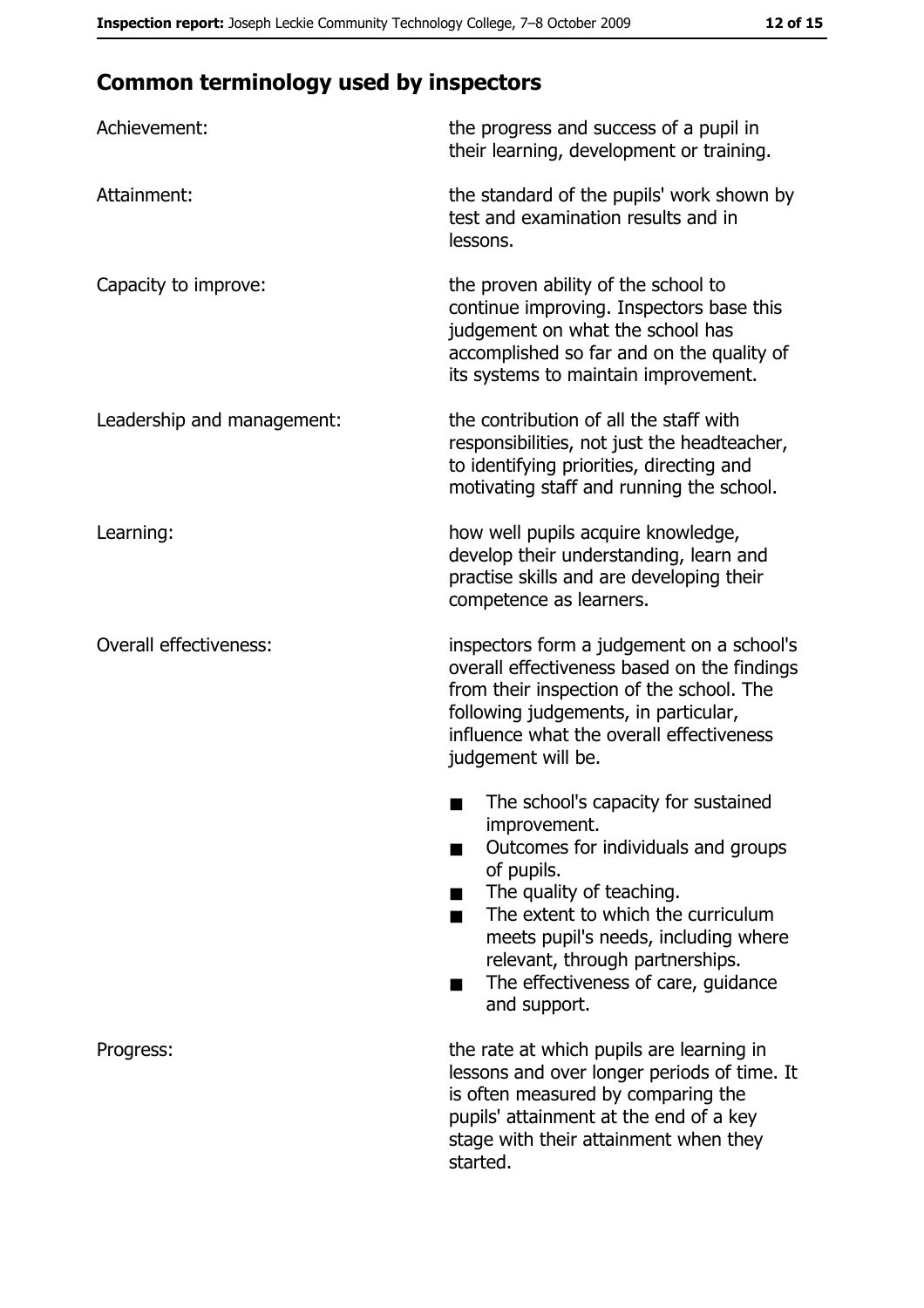# **Common terminology used by inspectors**

| Achievement:                  | the progress and success of a pupil in<br>their learning, development or training.                                                                                                                                                                                                                           |
|-------------------------------|--------------------------------------------------------------------------------------------------------------------------------------------------------------------------------------------------------------------------------------------------------------------------------------------------------------|
| Attainment:                   | the standard of the pupils' work shown by<br>test and examination results and in<br>lessons.                                                                                                                                                                                                                 |
| Capacity to improve:          | the proven ability of the school to<br>continue improving. Inspectors base this<br>judgement on what the school has<br>accomplished so far and on the quality of<br>its systems to maintain improvement.                                                                                                     |
| Leadership and management:    | the contribution of all the staff with<br>responsibilities, not just the headteacher,<br>to identifying priorities, directing and<br>motivating staff and running the school.                                                                                                                                |
| Learning:                     | how well pupils acquire knowledge,<br>develop their understanding, learn and<br>practise skills and are developing their<br>competence as learners.                                                                                                                                                          |
| <b>Overall effectiveness:</b> | inspectors form a judgement on a school's<br>overall effectiveness based on the findings<br>from their inspection of the school. The<br>following judgements, in particular,<br>influence what the overall effectiveness<br>judgement will be.                                                               |
|                               | The school's capacity for sustained<br>improvement.<br>Outcomes for individuals and groups<br>of pupils.<br>The quality of teaching.<br>The extent to which the curriculum<br>meets pupil's needs, including where<br>relevant, through partnerships.<br>The effectiveness of care, guidance<br>and support. |
| Progress:                     | the rate at which pupils are learning in<br>lessons and over longer periods of time. It<br>is often measured by comparing the<br>pupils' attainment at the end of a key<br>stage with their attainment when they<br>started.                                                                                 |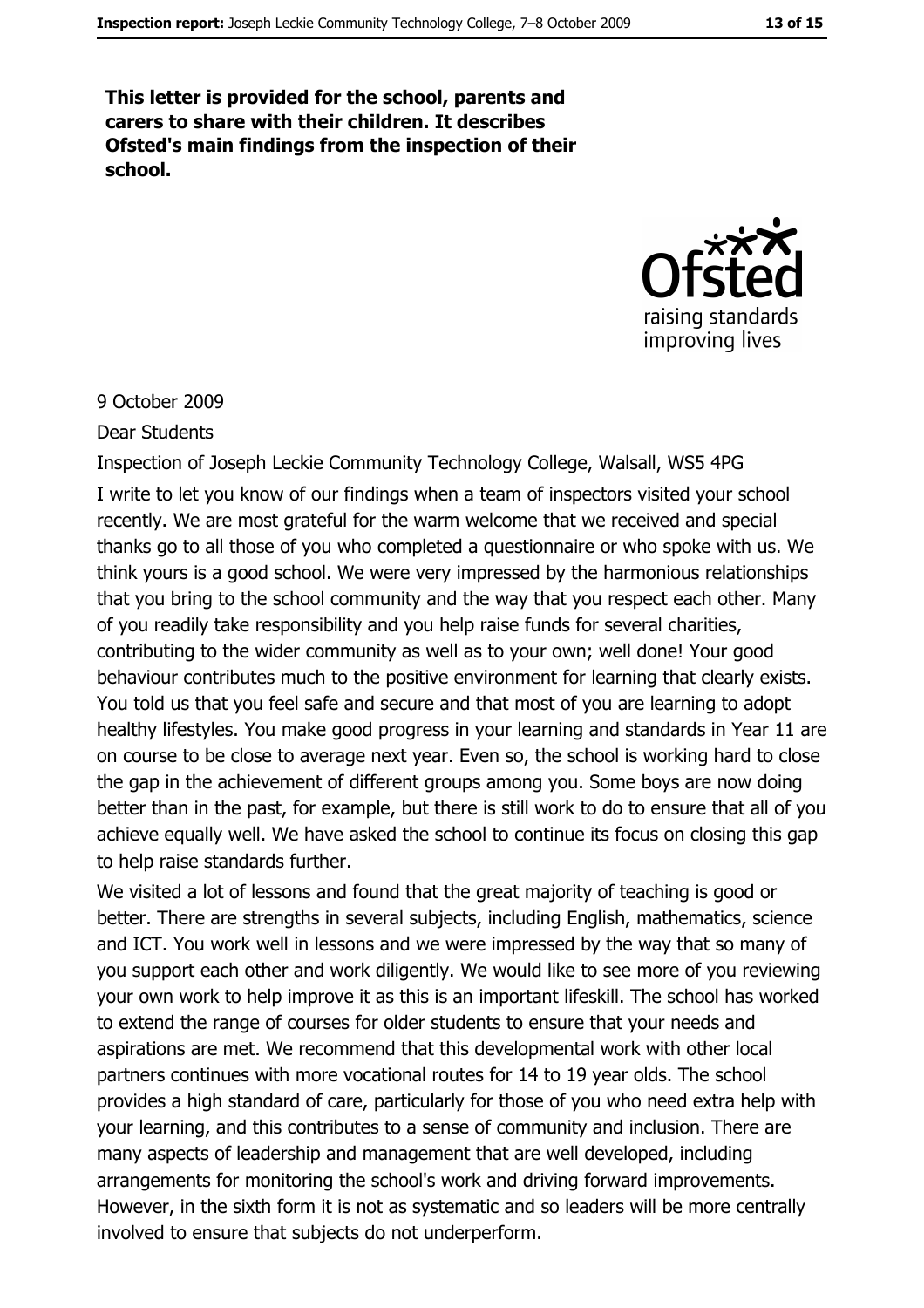This letter is provided for the school, parents and carers to share with their children. It describes Ofsted's main findings from the inspection of their school.



#### 9 October 2009

#### Dear Students

Inspection of Joseph Leckie Community Technology College, Walsall, WS5 4PG I write to let you know of our findings when a team of inspectors visited your school recently. We are most grateful for the warm welcome that we received and special thanks go to all those of you who completed a questionnaire or who spoke with us. We think yours is a good school. We were very impressed by the harmonious relationships that you bring to the school community and the way that you respect each other. Many of you readily take responsibility and you help raise funds for several charities, contributing to the wider community as well as to your own; well done! Your good behaviour contributes much to the positive environment for learning that clearly exists. You told us that you feel safe and secure and that most of you are learning to adopt healthy lifestyles. You make good progress in your learning and standards in Year 11 are on course to be close to average next year. Even so, the school is working hard to close the gap in the achievement of different groups among you. Some boys are now doing better than in the past, for example, but there is still work to do to ensure that all of you achieve equally well. We have asked the school to continue its focus on closing this gap to help raise standards further.

We visited a lot of lessons and found that the great majority of teaching is good or better. There are strengths in several subjects, including English, mathematics, science and ICT. You work well in lessons and we were impressed by the way that so many of you support each other and work diligently. We would like to see more of you reviewing your own work to help improve it as this is an important lifeskill. The school has worked to extend the range of courses for older students to ensure that your needs and aspirations are met. We recommend that this developmental work with other local partners continues with more vocational routes for 14 to 19 year olds. The school provides a high standard of care, particularly for those of you who need extra help with your learning, and this contributes to a sense of community and inclusion. There are many aspects of leadership and management that are well developed, including arrangements for monitoring the school's work and driving forward improvements. However, in the sixth form it is not as systematic and so leaders will be more centrally involved to ensure that subjects do not underperform.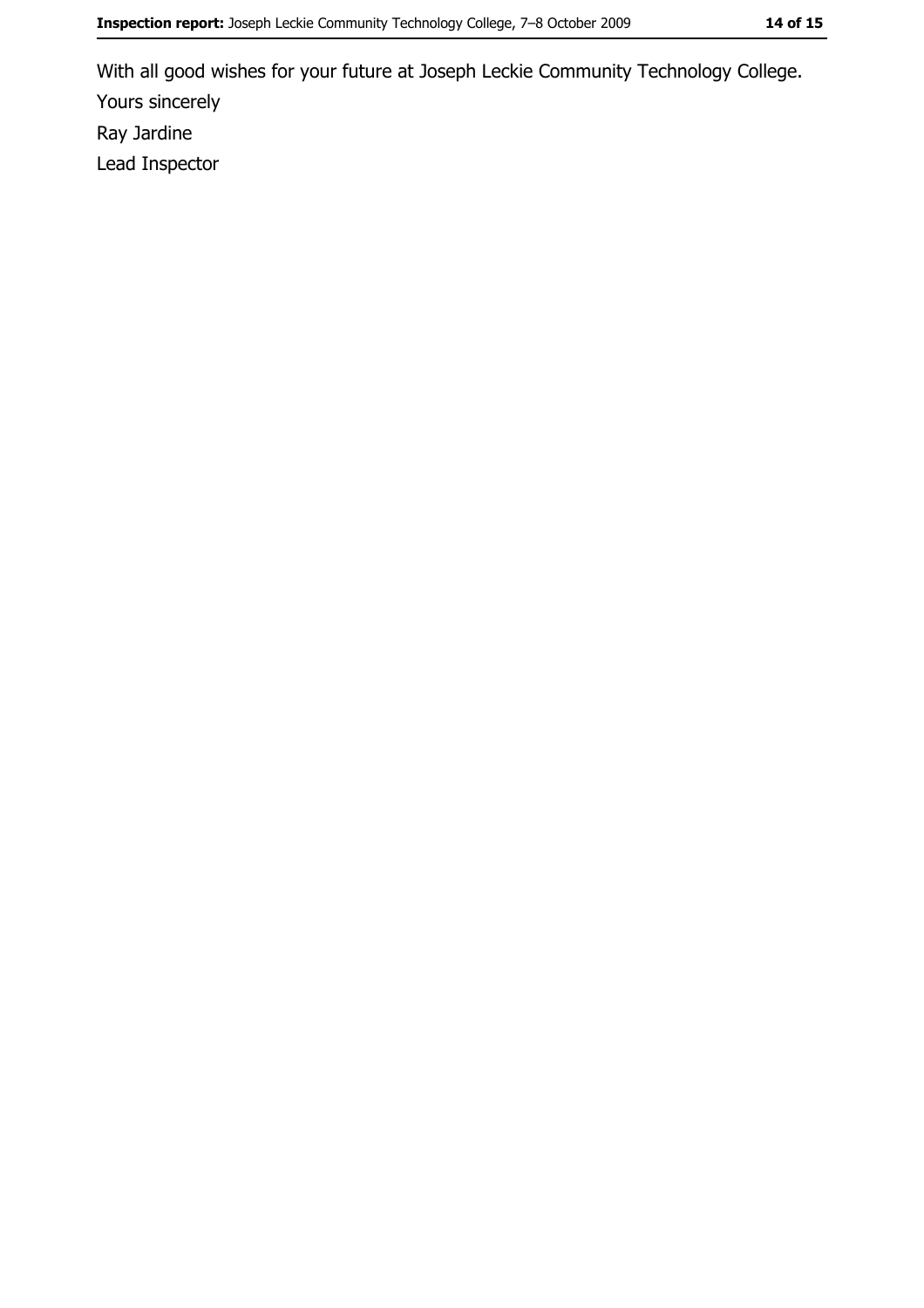With all good wishes for your future at Joseph Leckie Community Technology College. Yours sincerely Ray Jardine Lead Inspector